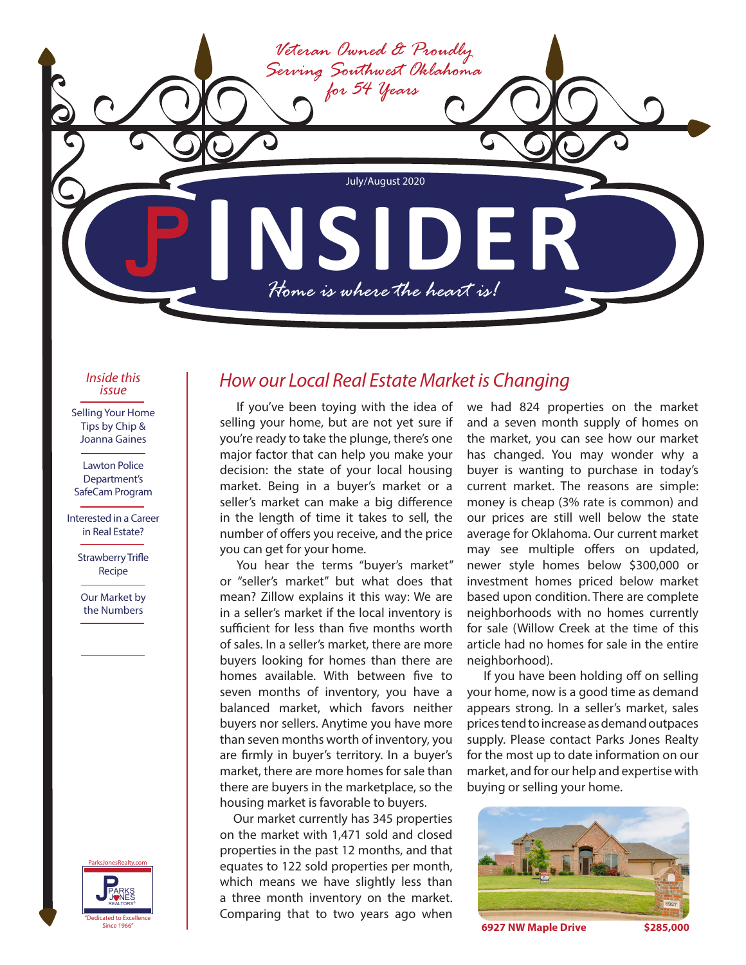

*Inside this issue*

Selling Your Home Tips by Chip & Joanna Gaines

Lawton Police Department's SafeCam Program

Interested in a Career in Real Estate?

> Strawberry Trifle Recipe

Our Market by the Numbers



## *How our Local Real Estate Market is Changing*

If you've been toying with the idea of selling your home, but are not yet sure if you're ready to take the plunge, there's one major factor that can help you make your decision: the state of your local housing market. Being in a buyer's market or a seller's market can make a big difference in the length of time it takes to sell, the number of offers you receive, and the price you can get for your home.

You hear the terms "buyer's market" or "seller's market" but what does that mean? Zillow explains it this way: We are in a seller's market if the local inventory is sufficient for less than five months worth of sales. In a seller's market, there are more buyers looking for homes than there are homes available. With between five to seven months of inventory, you have a balanced market, which favors neither buyers nor sellers. Anytime you have more than seven months worth of inventory, you are firmly in buyer's territory. In a buyer's market, there are more homes for sale than there are buyers in the marketplace, so the housing market is favorable to buyers.

 Our market currently has 345 properties on the market with 1,471 sold and closed properties in the past 12 months, and that equates to 122 sold properties per month, which means we have slightly less than a three month inventory on the market. Comparing that to two years ago when

we had 824 properties on the market and a seven month supply of homes on the market, you can see how our market has changed. You may wonder why a buyer is wanting to purchase in today's current market. The reasons are simple: money is cheap (3% rate is common) and our prices are still well below the state average for Oklahoma. Our current market may see multiple offers on updated, newer style homes below \$300,000 or investment homes priced below market based upon condition. There are complete neighborhoods with no homes currently for sale (Willow Creek at the time of this article had no homes for sale in the entire neighborhood).

If you have been holding off on selling your home, now is a good time as demand appears strong. In a seller's market, sales prices tend to increase as demand outpaces supply. Please contact Parks Jones Realty for the most up to date information on our market, and for our help and expertise with buying or selling your home.



**6927 NW Maple Drive \$285,000**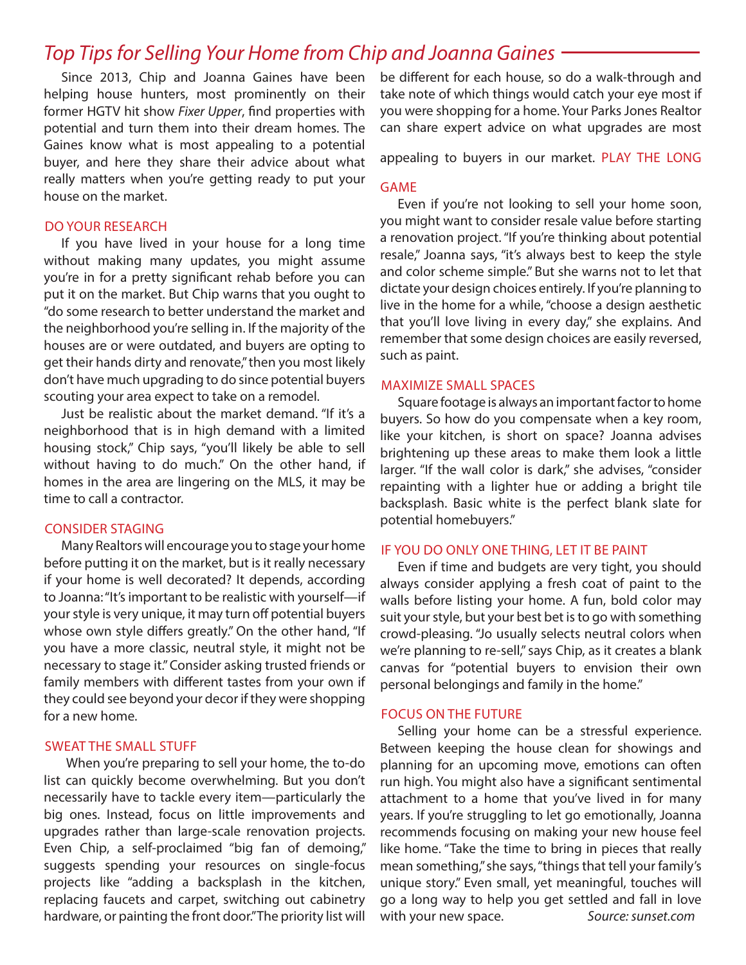# *Top Tips for Selling Your Home from Chip and Joanna Gaines*

Since 2013, Chip and Joanna Gaines have been helping house hunters, most prominently on their former HGTV hit show *Fixer Upper*, find properties with potential and turn them into their dream homes. The Gaines know what is most appealing to a potential buyer, and here they share their advice about what really matters when you're getting ready to put your house on the market.

### DO YOUR RESEARCH

If you have lived in your house for a long time without making many updates, you might assume you're in for a pretty significant rehab before you can put it on the market. But Chip warns that you ought to "do some research to better understand the market and the neighborhood you're selling in. If the majority of the houses are or were outdated, and buyers are opting to get their hands dirty and renovate," then you most likely don't have much upgrading to do since potential buyers scouting your area expect to take on a remodel.

Just be realistic about the market demand. "If it's a neighborhood that is in high demand with a limited housing stock," Chip says, "you'll likely be able to sell without having to do much." On the other hand, if homes in the area are lingering on the MLS, it may be time to call a contractor.

### CONSIDER STAGING

Many Realtors will encourage you to stage your home before putting it on the market, but is it really necessary if your home is well decorated? It depends, according to Joanna: "It's important to be realistic with yourself—if your style is very unique, it may turn off potential buyers whose own style differs greatly." On the other hand, "If you have a more classic, neutral style, it might not be necessary to stage it." Consider asking trusted friends or family members with different tastes from your own if they could see beyond your decor if they were shopping for a new home.

### SWEAT THE SMALL STUFF

When you're preparing to sell your home, the to-do list can quickly become overwhelming. But you don't necessarily have to tackle every item—particularly the big ones. Instead, focus on little improvements and upgrades rather than large-scale renovation projects. Even Chip, a self-proclaimed "big fan of demoing," suggests spending your resources on single-focus projects like "adding a backsplash in the kitchen, replacing faucets and carpet, switching out cabinetry hardware, or painting the front door." The priority list will be different for each house, so do a walk-through and take note of which things would catch your eye most if you were shopping for a home. Your Parks Jones Realtor can share expert advice on what upgrades are most

appealing to buyers in our market. PLAY THE LONG

### GAME

Even if you're not looking to sell your home soon, you might want to consider resale value before starting a renovation project. "If you're thinking about potential resale," Joanna says, "it's always best to keep the style and color scheme simple." But she warns not to let that dictate your design choices entirely. If you're planning to live in the home for a while, "choose a design aesthetic that you'll love living in every day," she explains. And remember that some design choices are easily reversed, such as paint.

### MAXIMIZE SMALL SPACES

Square footage is always an important factor to home buyers. So how do you compensate when a key room, like your kitchen, is short on space? Joanna advises brightening up these areas to make them look a little larger. "If the wall color is dark," she advises, "consider repainting with a lighter hue or adding a bright tile backsplash. Basic white is the perfect blank slate for potential homebuyers."

### IF YOU DO ONLY ONE THING, LET IT BE PAINT

Even if time and budgets are very tight, you should always consider applying a fresh coat of paint to the walls before listing your home. A fun, bold color may suit your style, but your best bet is to go with something crowd-pleasing. "Jo usually selects neutral colors when we're planning to re-sell," says Chip, as it creates a blank canvas for "potential buyers to envision their own personal belongings and family in the home."

### FOCUS ON THE FUTURE

Selling your home can be a stressful experience. Between keeping the house clean for showings and planning for an upcoming move, emotions can often run high. You might also have a significant sentimental attachment to a home that you've lived in for many years. If you're struggling to let go emotionally, Joanna recommends focusing on making your new house feel like home. "Take the time to bring in pieces that really mean something," she says, "things that tell your family's unique story." Even small, yet meaningful, touches will go a long way to help you get settled and fall in love with your new space. *Source: sunset.com*